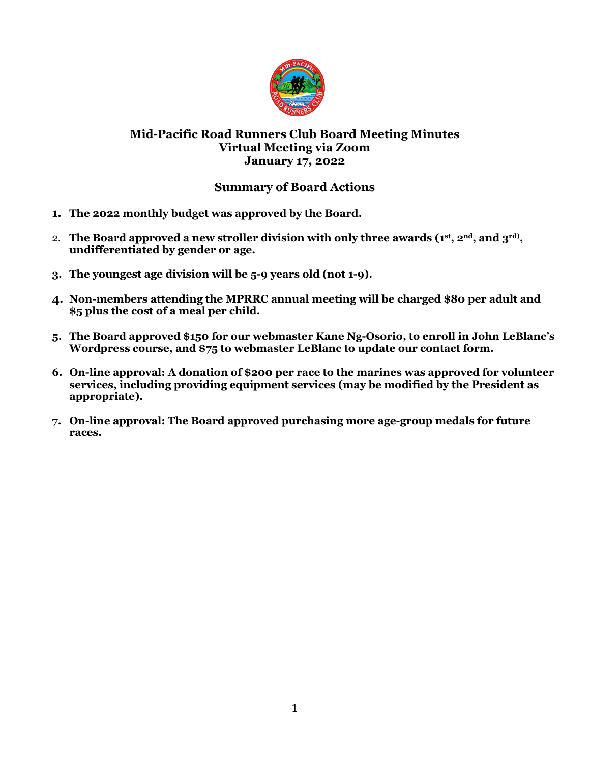

# **Mid-Pacific Road Runners Club Board Meeting Minutes Virtual Meeting via Zoom January 17, 2022**

# **Summary of Board Actions**

- **1. The 2022 monthly budget was approved by the Board.**
- 2. **The Board approved a new stroller division with only three awards (1st, 2nd, and 3rd), undifferentiated by gender or age.**
- **3. The youngest age division will be 5-9 years old (not 1-9).**
- **4. Non-members attending the MPRRC annual meeting will be charged \$80 per adult and \$5 plus the cost of a meal per child.**
- **5. The Board approved \$150 for our webmaster Kane Ng-Osorio, to enroll in John LeBlanc's Wordpress course, and \$75 to webmaster LeBlanc to update our contact form.**
- **6. On-line approval: A donation of \$200 per race to the marines was approved for volunteer services, including providing equipment services (may be modified by the President as appropriate).**
- **7. On-line approval: The Board approved purchasing more age-group medals for future races.**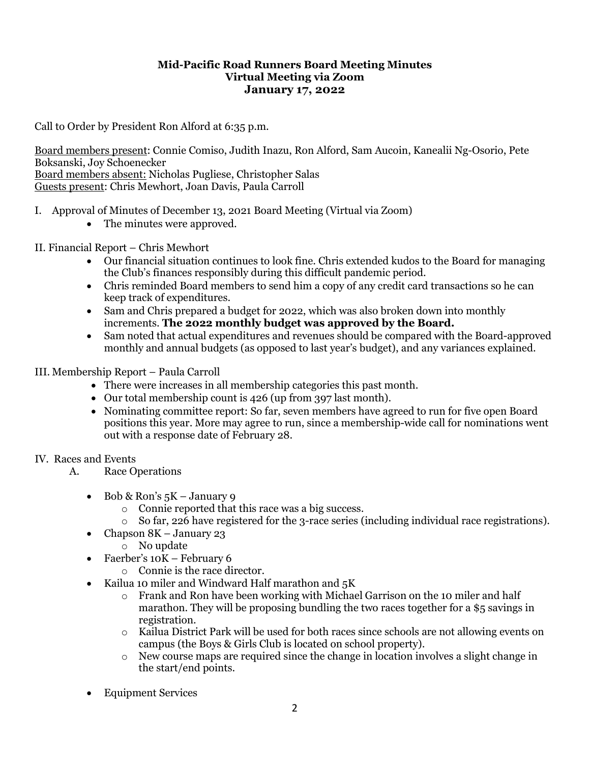### **Mid-Pacific Road Runners Board Meeting Minutes Virtual Meeting via Zoom January 17, 2022**

Call to Order by President Ron Alford at 6:35 p.m.

Board members present: Connie Comiso, Judith Inazu, Ron Alford, Sam Aucoin, Kanealii Ng-Osorio, Pete Boksanski, Joy Schoenecker Board members absent: Nicholas Pugliese, Christopher Salas Guests present: Chris Mewhort, Joan Davis, Paula Carroll

- I. Approval of Minutes of December 13, 2021 Board Meeting (Virtual via Zoom)
	- The minutes were approved.
- II. Financial Report Chris Mewhort
	- Our financial situation continues to look fine. Chris extended kudos to the Board for managing the Club's finances responsibly during this difficult pandemic period.
	- Chris reminded Board members to send him a copy of any credit card transactions so he can keep track of expenditures.
	- Sam and Chris prepared a budget for 2022, which was also broken down into monthly increments. **The 2022 monthly budget was approved by the Board.**
	- Sam noted that actual expenditures and revenues should be compared with the Board-approved monthly and annual budgets (as opposed to last year's budget), and any variances explained.

### III. Membership Report – Paula Carroll

- There were increases in all membership categories this past month.
- Our total membership count is 426 (up from 397 last month).
- Nominating committee report: So far, seven members have agreed to run for five open Board positions this year. More may agree to run, since a membership-wide call for nominations went out with a response date of February 28.

### IV. Races and Events

- A. Race Operations
	- Bob & Ron's  $5K January$  9
		- o Connie reported that this race was a big success.
		- o So far, 226 have registered for the 3-race series (including individual race registrations).
	- Chapson 8K January 23
		- o No update
	- Faerber's 10K February 6
		- o Connie is the race director.
	- Kailua 10 miler and Windward Half marathon and 5K
		- o Frank and Ron have been working with Michael Garrison on the 10 miler and half marathon. They will be proposing bundling the two races together for a \$5 savings in registration.
		- o Kailua District Park will be used for both races since schools are not allowing events on campus (the Boys & Girls Club is located on school property).
		- $\circ$  New course maps are required since the change in location involves a slight change in the start/end points.
	- Equipment Services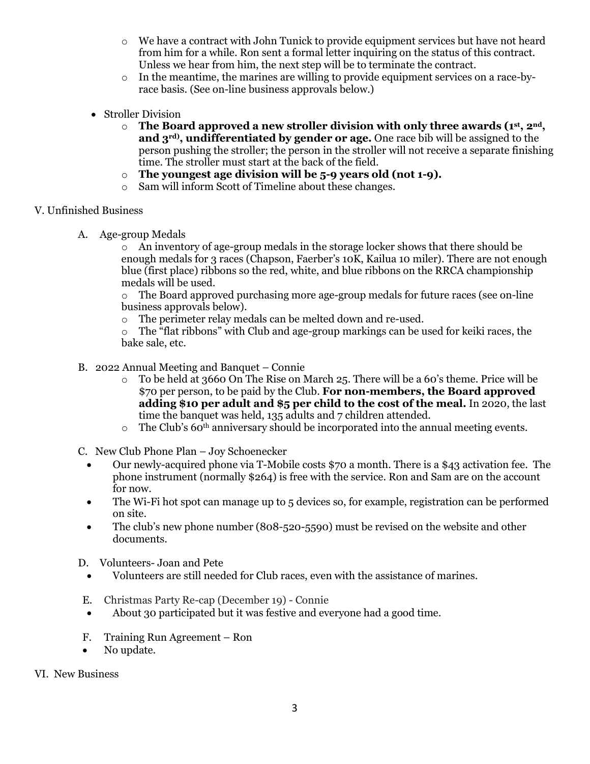- o We have a contract with John Tunick to provide equipment services but have not heard from him for a while. Ron sent a formal letter inquiring on the status of this contract. Unless we hear from him, the next step will be to terminate the contract.
- $\circ$  In the meantime, the marines are willing to provide equipment services on a race-byrace basis. (See on-line business approvals below.)
- Stroller Division
	- o **The Board approved a new stroller division with only three awards (1st, 2nd, and 3rd), undifferentiated by gender or age.** One race bib will be assigned to the person pushing the stroller; the person in the stroller will not receive a separate finishing time. The stroller must start at the back of the field.
	- o **The youngest age division will be 5-9 years old (not 1-9).**
	- o Sam will inform Scott of Timeline about these changes.

### V. Unfinished Business

A. Age-group Medals

 $\circ$  An inventory of age-group medals in the storage locker shows that there should be enough medals for 3 races (Chapson, Faerber's 10K, Kailua 10 miler). There are not enough blue (first place) ribbons so the red, white, and blue ribbons on the RRCA championship medals will be used.

o The Board approved purchasing more age-group medals for future races (see on-line business approvals below).

 $\circ$  The perimeter relay medals can be melted down and re-used.<br> $\circ$  The "flat ribbons" with Club and age-group markings can be u

The "flat ribbons" with Club and age-group markings can be used for keiki races, the bake sale, etc.

- B. 2022 Annual Meeting and Banquet Connie
	- $\circ$  To be held at 3660 On The Rise on March 25. There will be a 60's theme. Price will be \$70 per person, to be paid by the Club. **For non-members, the Board approved adding \$10 per adult and \$5 per child to the cost of the meal.** In 2020, the last time the banquet was held, 135 adults and 7 children attended.
	- $\circ$  The Club's 60<sup>th</sup> anniversary should be incorporated into the annual meeting events.

C. New Club Phone Plan – Joy Schoenecker

- Our newly-acquired phone via T-Mobile costs \$70 a month. There is a \$43 activation fee. The phone instrument (normally \$264) is free with the service. Ron and Sam are on the account for now.
- The Wi-Fi hot spot can manage up to 5 devices so, for example, registration can be performed on site.
- The club's new phone number (808-520-5590) must be revised on the website and other documents.
- D. Volunteers- Joan and Pete
	- Volunteers are still needed for Club races, even with the assistance of marines.
- E. Christmas Party Re-cap (December 19) Connie
- About 30 participated but it was festive and everyone had a good time.
- F. Training Run Agreement Ron
- No update.
- VI. New Business